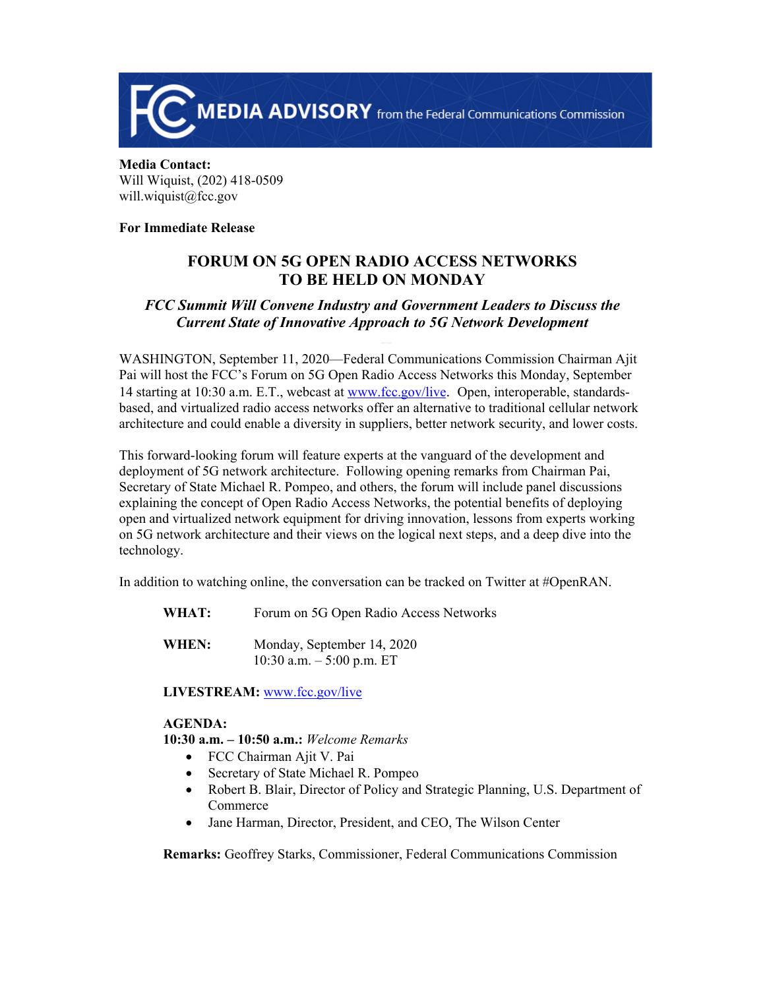

**Media Contact:**  Will Wiquist, (202) 418-0509 will.wiquist@fcc.gov

#### **For Immediate Release**

# **FORUM ON 5G OPEN RADIO ACCESS NETWORKS TO BE HELD ON MONDAY**

## *FCC Summit Will Convene Industry and Government Leaders to Discuss the Current State of Innovative Approach to 5G Network Development*

WASHINGTON, September 11, 2020—Federal Communications Commission Chairman Ajit Pai will host the FCC's Forum on 5G Open Radio Access Networks this Monday, September 14 starting at 10:30 a.m. E.T., webcast at [www.fcc.gov/live](http://www.fcc.gov/live). Open, interoperable, standardsbased, and virtualized radio access networks offer an alternative to traditional cellular network architecture and could enable a diversity in suppliers, better network security, and lower costs.

This forward-looking forum will feature experts at the vanguard of the development and deployment of 5G network architecture. Following opening remarks from Chairman Pai, Secretary of State Michael R. Pompeo, and others, the forum will include panel discussions explaining the concept of Open Radio Access Networks, the potential benefits of deploying open and virtualized network equipment for driving innovation, lessons from experts working on 5G network architecture and their views on the logical next steps, and a deep dive into the technology.

In addition to watching online, the conversation can be tracked on Twitter at #OpenRAN.

- WHAT: Forum on 5G Open Radio Access Networks
- **WHEN:** Monday, September 14, 2020 10:30 a.m. – 5:00 p.m. ET

LIVESTREAM: [www.fcc.gov/live](http://www.fcc.gov/live)

#### **AGENDA:**

**10:30 a.m. – 10:50 a.m.:** *Welcome Remarks*

- FCC Chairman Ajit V. Pai
- Secretary of State Michael R. Pompeo
- Robert B. Blair, Director of Policy and Strategic Planning, U.S. Department of Commerce
- Jane Harman, Director, President, and CEO, The Wilson Center

**Remarks:** Geoffrey Starks, Commissioner, Federal Communications Commission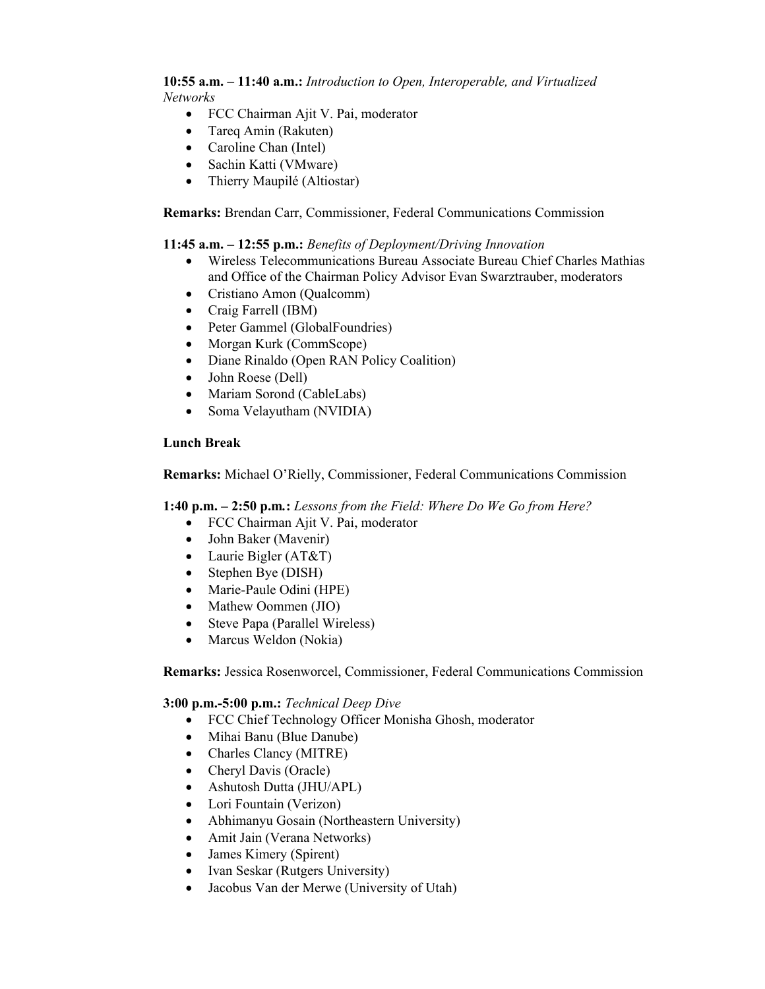**10:55 a.m. – 11:40 a.m.:** *Introduction to Open, Interoperable, and Virtualized Networks*

- FCC Chairman Ajit V. Pai, moderator
- Tareg Amin (Rakuten)
- Caroline Chan (Intel)
- Sachin Katti (VMware)
- Thierry Maupilé (Altiostar)

**Remarks:** Brendan Carr, Commissioner, Federal Communications Commission

### **11:45 a.m. – 12:55 p.m.:** *Benefits of Deployment/Driving Innovation*

- Wireless Telecommunications Bureau Associate Bureau Chief Charles Mathias and Office of the Chairman Policy Advisor Evan Swarztrauber, moderators
- Cristiano Amon (Qualcomm)
- Craig Farrell (IBM)
- Peter Gammel (GlobalFoundries)
- Morgan Kurk (CommScope)
- Diane Rinaldo (Open RAN Policy Coalition)
- John Roese (Dell)
- Mariam Sorond (CableLabs)
- Soma Velayutham (NVIDIA)

#### **Lunch Break**

**Remarks:** Michael O'Rielly, Commissioner, Federal Communications Commission

**1:40 p.m. – 2:50 p.m***.***:** *Lessons from the Field: Where Do We Go from Here?*

- FCC Chairman Ajit V. Pai, moderator
- John Baker (Mavenir)
- Laurie Bigler (AT&T)
- Stephen Bye (DISH)
- Marie-Paule Odini (HPE)
- Mathew Oommen (JIO)
- Steve Papa (Parallel Wireless)
- Marcus Weldon (Nokia)

**Remarks:** Jessica Rosenworcel, Commissioner, Federal Communications Commission

#### **3:00 p.m.-5:00 p.m.:** *Technical Deep Dive*

- FCC Chief Technology Officer Monisha Ghosh, moderator
- Mihai Banu (Blue Danube)
- Charles Clancy (MITRE)
- Cheryl Davis (Oracle)
- Ashutosh Dutta (JHU/APL)
- Lori Fountain (Verizon)
- Abhimanyu Gosain (Northeastern University)
- Amit Jain (Verana Networks)
- James Kimery (Spirent)
- Ivan Seskar (Rutgers University)
- Jacobus Van der Merwe (University of Utah)